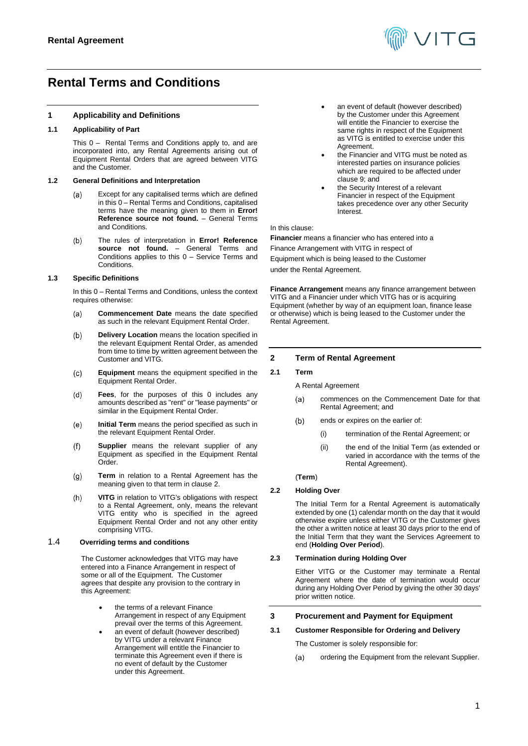

# <span id="page-0-0"></span>**Rental Terms and Conditions**

# **1 Applicability and Definitions**

# **1.1 Applicability of Part**

This [0](#page-0-0) – Rental Terms and Conditions apply to, and are incorporated into, any Rental Agreements arising out of Equipment Rental Orders that are agreed between VITG and the Customer.

## **1.2 General Definitions and Interpretation**

- Except for any capitalised terms which are defined  $(a)$ in thi[s 0](#page-0-0) – Rental Terms and Conditions, capitalised terms have the meaning given to them in **Error! Reference source not found.** – General Terms and Conditions.
- $(b)$ The rules of interpretation in **Error! Reference source not found.** – General Terms and Conditions applies to this [0](#page-0-0) – Service Terms and Conditions.

## **1.3 Specific Definitions**

In thi[s 0](#page-0-0) – Rental Terms and Conditions, unless the context requires otherwise:

- **Commencement Date** means the date specified  $(a)$ as such in the relevant Equipment Rental Order.
- $(b)$ **Delivery Location** means the location specified in the relevant Equipment Rental Order, as amended from time to time by written agreement between the Customer and VITG.
- $(c)$ **Equipment** means the equipment specified in the Equipment Rental Order.
- $(d)$ **Fees**, for the purposes of this [0](#page-0-0) includes any amounts described as "rent" or "lease payments" or similar in the Equipment Rental Order.
- **Initial Term** means the period specified as such in  $(e)$ the relevant Equipment Rental Order.
- $(f)$ **Supplier** means the relevant supplier of any Equipment as specified in the Equipment Rental Order.
- **Term** in relation to a Rental Agreement has the  $(g)$ meaning given to that term in claus[e 2.](#page-0-1)
- $(h)$ **VITG** in relation to VITG's obligations with respect to a Rental Agreement, only, means the relevant VITG entity who is specified in the agreed Equipment Rental Order and not any other entity comprising VITG.

## 1.4 **Overriding terms and conditions**

The Customer acknowledges that VITG may have entered into a Finance Arrangement in respect of some or all of the Equipment. The Customer agrees that despite any provision to the contrary in this Agreement:

- the terms of a relevant Finance Arrangement in respect of any Equipment prevail over the terms of this Agreement.
- an event of default (however described) by VITG under a relevant Finance Arrangement will entitle the Financier to terminate this Agreement even if there is no event of default by the Customer under this Agreement.
- an event of default (however described) by the Customer under this Agreement will entitle the Financier to exercise the same rights in respect of the Equipment as VITG is entitled to exercise under this Agreement.
- the Financier and VITG must be noted as interested parties on insurance policies which are required to be affected under clause 9; and
- the Security Interest of a relevant Financier in respect of the Equipment takes precedence over any other Security Interest.

## In this clause:

**Financier** means a financier who has entered into a Finance Arrangement with VITG in respect of Equipment which is being leased to the Customer under the Rental Agreement.

**Finance Arrangement** means any finance arrangement between VITG and a Financier under which VITG has or is acquiring Equipment (whether by way of an equipment loan, finance lease or otherwise) which is being leased to the Customer under the Rental Agreement.

# <span id="page-0-1"></span>**2 Term of Rental Agreement**

# **2.1 Term**

- A Rental Agreement
	- commences on the Commencement Date for that  $(a)$ Rental Agreement; and
- $(b)$ ends or expires on the earlier of:
	- (i) termination of the Rental Agreement; or
	- (ii) the end of the Initial Term (as extended or varied in accordance with the terms of the Rental Agreement).

# (**Term**)

# **2.2 Holding Over**

The Initial Term for a Rental Agreement is automatically extended by one (1) calendar month on the day that it would otherwise expire unless either VITG or the Customer gives the other a written notice at least 30 days prior to the end of the Initial Term that they want the Services Agreement to end (**Holding Over Period**).

# **2.3 Termination during Holding Over**

Either VITG or the Customer may terminate a Rental Agreement where the date of termination would occur during any Holding Over Period by giving the other 30 days' prior written notice.

# **3 Procurement and Payment for Equipment**

# **3.1 Customer Responsible for Ordering and Delivery**

The Customer is solely responsible for:

ordering the Equipment from the relevant Supplier.(a)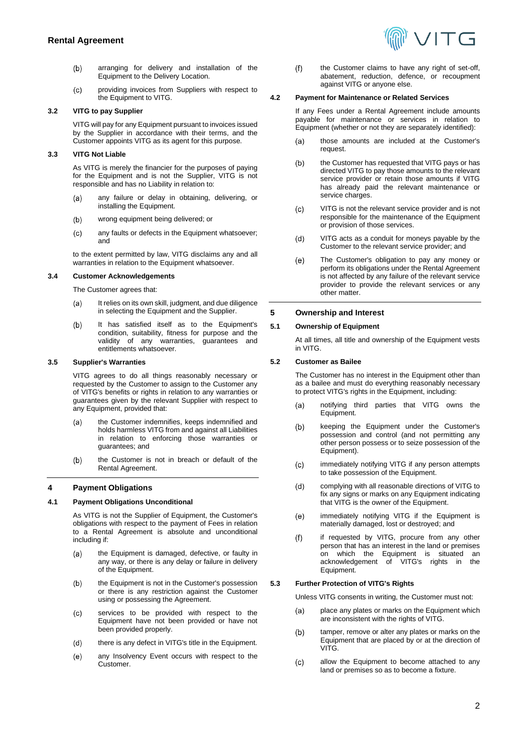- arranging for delivery and installation of the  $(b)$ Equipment to the Delivery Location.
- $(c)$ providing invoices from Suppliers with respect to the Equipment to VITG.

# **3.2 VITG to pay Supplier**

VITG will pay for any Equipment pursuant to invoices issued by the Supplier in accordance with their terms, and the Customer appoints VITG as its agent for this purpose.

# **3.3 VITG Not Liable**

As VITG is merely the financier for the purposes of paying for the Equipment and is not the Supplier, VITG is not responsible and has no Liability in relation to:

- any failure or delay in obtaining, delivering, or  $(a)$ installing the Equipment.
- $(b)$ wrong equipment being delivered; or
- $(c)$ any faults or defects in the Equipment whatsoever; and

to the extent permitted by law, VITG disclaims any and all warranties in relation to the Equipment whatsoever.

# **3.4 Customer Acknowledgements**

The Customer agrees that:

- It relies on its own skill, judgment, and due diligence  $(a)$ in selecting the Equipment and the Supplier.
- It has satisfied itself as to the Equipment's  $(b)$ condition, suitability, fitness for purpose and the validity of any warranties, guarantees and entitlements whatsoever.

# **3.5 Supplier's Warranties**

VITG agrees to do all things reasonably necessary or requested by the Customer to assign to the Customer any of VITG's benefits or rights in relation to any warranties or guarantees given by the relevant Supplier with respect to any Equipment, provided that:

- the Customer indemnifies, keeps indemnified and  $(a)$ holds harmless VITG from and against all Liabilities in relation to enforcing those warranties or guarantees; and
- $(b)$ the Customer is not in breach or default of the Rental Agreement.

# **4 Payment Obligations**

# **4.1 Payment Obligations Unconditional**

As VITG is not the Supplier of Equipment, the Customer's obligations with respect to the payment of Fees in relation to a Rental Agreement is absolute and unconditional including if:

- the Equipment is damaged, defective, or faulty in (a) any way, or there is any delay or failure in delivery of the Equipment.
- $(b)$ the Equipment is not in the Customer's possession or there is any restriction against the Customer using or possessing the Agreement.
- services to be provided with respect to the  $(c)$ Equipment have not been provided or have not been provided properly.
- $(d)$ there is any defect in VITG's title in the Equipment.
- $(e)$ any Insolvency Event occurs with respect to the Customer.

the Customer claims to have any right of set-off,  $(f)$ abatement, reduction, defence, or recoupment against VITG or anyone else.

## **4.2 Payment for Maintenance or Related Services**

If any Fees under a Rental Agreement include amounts payable for maintenance or services in relation to Equipment (whether or not they are separately identified):

- those amounts are included at the Customer's  $(a)$ request.
- the Customer has requested that VITG pays or has  $(b)$ directed VITG to pay those amounts to the relevant service provider or retain those amounts if VITG has already paid the relevant maintenance or service charges.
- VITG is not the relevant service provider and is not  $(c)$ responsible for the maintenance of the Equipment or provision of those services.
- $(d)$ VITG acts as a conduit for moneys payable by the Customer to the relevant service provider; and
- The Customer's obligation to pay any money or  $(e)$ perform its obligations under the Rental Agreement is not affected by any failure of the relevant service provider to provide the relevant services or any other matter.

# **5 Ownership and Interest**

# **5.1 Ownership of Equipment**

At all times, all title and ownership of the Equipment vests in VITG.

# **5.2 Customer as Bailee**

The Customer has no interest in the Equipment other than as a bailee and must do everything reasonably necessary to protect VITG's rights in the Equipment, including:

- notifying third parties that VITG owns the  $(a)$ Equipment.
- $(b)$ keeping the Equipment under the Customer's possession and control (and not permitting any other person possess or to seize possession of the Equipment).
- $(c)$ immediately notifying VITG if any person attempts to take possession of the Equipment.
- complying with all reasonable directions of VITG to  $(d)$ fix any signs or marks on any Equipment indicating that VITG is the owner of the Equipment.
- immediately notifying VITG if the Equipment is  $(e)$ materially damaged, lost or destroyed; and
- $(f)$ if requested by VITG, procure from any other person that has an interest in the land or premises on which the Equipment is situated an<br>acknowledgement of VITG's rights in the acknowledgement of VITG's rights in the Equipment.

# **5.3 Further Protection of VITG's Rights**

Unless VITG consents in writing, the Customer must not:

- place any plates or marks on the Equipment which  $(a)$ are inconsistent with the rights of VITG.
- $(b)$ tamper, remove or alter any plates or marks on the Equipment that are placed by or at the direction of VITG.
- $(c)$ allow the Equipment to become attached to any land or premises so as to become a fixture.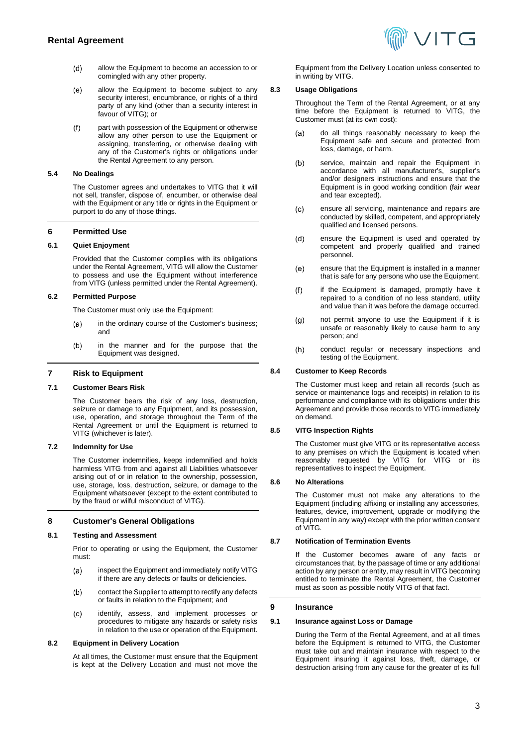

- $(d)$ allow the Equipment to become an accession to or comingled with any other property.
- $(e)$ allow the Equipment to become subject to any security interest, encumbrance, or rights of a third party of any kind (other than a security interest in favour of VITG); or
- part with possession of the Equipment or otherwise  $(f)$ allow any other person to use the Equipment or assigning, transferring, or otherwise dealing with any of the Customer's rights or obligations under the Rental Agreement to any person.

#### **5.4 No Dealings**

The Customer agrees and undertakes to VITG that it will not sell, transfer, dispose of, encumber, or otherwise deal with the Equipment or any title or rights in the Equipment or purport to do any of those things.

## **6 Permitted Use**

#### **6.1 Quiet Enjoyment**

Provided that the Customer complies with its obligations under the Rental Agreement, VITG will allow the Customer to possess and use the Equipment without interference from VITG (unless permitted under the Rental Agreement).

## **6.2 Permitted Purpose**

The Customer must only use the Equipment:

- in the ordinary course of the Customer's business;  $(a)$ and
- in the manner and for the purpose that the  $(b)$ Equipment was designed.

# **7 Risk to Equipment**

#### **7.1 Customer Bears Risk**

The Customer bears the risk of any loss, destruction, seizure or damage to any Equipment, and its possession, use, operation, and storage throughout the Term of the Rental Agreement or until the Equipment is returned to VITG (whichever is later).

#### **7.2 Indemnity for Use**

The Customer indemnifies, keeps indemnified and holds harmless VITG from and against all Liabilities whatsoever arising out of or in relation to the ownership, possession, use, storage, loss, destruction, seizure, or damage to the Equipment whatsoever (except to the extent contributed to by the fraud or wilful misconduct of VITG).

#### **8 Customer's General Obligations**

#### **8.1 Testing and Assessment**

Prior to operating or using the Equipment, the Customer must:

- inspect the Equipment and immediately notify VITG  $(a)$ if there are any defects or faults or deficiencies.
- $(b)$ contact the Supplier to attempt to rectify any defects or faults in relation to the Equipment; and
- $(c)$ identify, assess, and implement processes or procedures to mitigate any hazards or safety risks in relation to the use or operation of the Equipment.

#### **8.2 Equipment in Delivery Location**

At all times, the Customer must ensure that the Equipment is kept at the Delivery Location and must not move the

Equipment from the Delivery Location unless consented to in writing by VITG.

# **8.3 Usage Obligations**

Throughout the Term of the Rental Agreement, or at any time before the Equipment is returned to VITG, the Customer must (at its own cost):

- do all things reasonably necessary to keep the  $(a)$ Equipment safe and secure and protected from loss, damage, or harm.
- $(b)$ service, maintain and repair the Equipment in accordance with all manufacturer's, supplier's and/or designers instructions and ensure that the Equipment is in good working condition (fair wear and tear excepted).
- ensure all servicing, maintenance and repairs are  $(c)$ conducted by skilled, competent, and appropriately qualified and licensed persons.
- $(d)$ ensure the Equipment is used and operated by competent and properly qualified and trained personnel.
- ensure that the Equipment is installed in a manner  $(e)$ that is safe for any persons who use the Equipment.
- $(f)$ if the Equipment is damaged, promptly have it repaired to a condition of no less standard, utility and value than it was before the damage occurred.
- not permit anyone to use the Equipment if it is  $(g)$ unsafe or reasonably likely to cause harm to any person; and
- $(h)$ conduct regular or necessary inspections and testing of the Equipment.

#### **8.4 Customer to Keep Records**

The Customer must keep and retain all records (such as service or maintenance logs and receipts) in relation to its performance and compliance with its obligations under this Agreement and provide those records to VITG immediately on demand.

## **8.5 VITG Inspection Rights**

The Customer must give VITG or its representative access to any premises on which the Equipment is located when reasonably requested by VITG for VITG or its representatives to inspect the Equipment.

#### **8.6 No Alterations**

The Customer must not make any alterations to the Equipment (including affixing or installing any accessories, features, device, improvement, upgrade or modifying the Equipment in any way) except with the prior written consent of VITG.

#### **8.7 Notification of Termination Events**

If the Customer becomes aware of any facts or circumstances that, by the passage of time or any additional action by any person or entity, may result in VITG becoming entitled to terminate the Rental Agreement, the Customer must as soon as possible notify VITG of that fact.

#### <span id="page-2-1"></span>**9 Insurance**

#### <span id="page-2-0"></span>**9.1 Insurance against Loss or Damage**

During the Term of the Rental Agreement, and at all times before the Equipment is returned to VITG, the Customer must take out and maintain insurance with respect to the Equipment insuring it against loss, theft, damage, or destruction arising from any cause for the greater of its full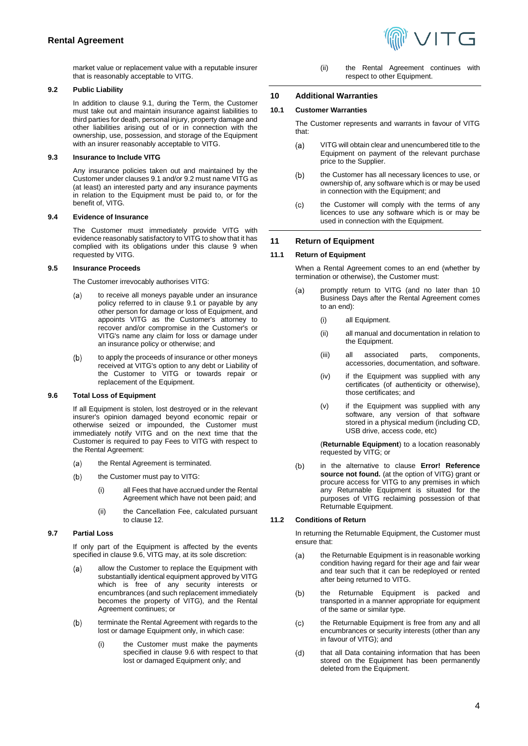

market value or replacement value with a reputable insurer that is reasonably acceptable to VITG.

## <span id="page-3-0"></span>**9.2 Public Liability**

In addition to clause [9.1,](#page-2-0) during the Term, the Customer must take out and maintain insurance against liabilities to third parties for death, personal injury, property damage and other liabilities arising out of or in connection with the ownership, use, possession, and storage of the Equipment with an insurer reasonably acceptable to VITG.

# **9.3 Insurance to Include VITG**

Any insurance policies taken out and maintained by the Customer under clause[s 9.1](#page-2-0) and/o[r 9.2](#page-3-0) must name VITG as (at least) an interested party and any insurance payments in relation to the Equipment must be paid to, or for the benefit of, VITG.

## **9.4 Evidence of Insurance**

The Customer must immediately provide VITG with evidence reasonably satisfactory to VITG to show that it has complied with its obligations under this clause [9](#page-2-1) when requested by VITG.

## **9.5 Insurance Proceeds**

The Customer irrevocably authorises VITG:

- to receive all moneys payable under an insurance  $(a)$ policy referred to in clause [9.1](#page-2-0) or payable by any other person for damage or loss of Equipment, and appoints VITG as the Customer's attorney to recover and/or compromise in the Customer's or VITG's name any claim for loss or damage under an insurance policy or otherwise; and
- $(b)$ to apply the proceeds of insurance or other moneys received at VITG's option to any debt or Liability of the Customer to VITG or towards repair or replacement of the Equipment.

## <span id="page-3-1"></span>**9.6 Total Loss of Equipment**

If all Equipment is stolen, lost destroyed or in the relevant insurer's opinion damaged beyond economic repair or otherwise seized or impounded, the Customer must immediately notify VITG and on the next time that the Customer is required to pay Fees to VITG with respect to the Rental Agreement:

- the Rental Agreement is terminated. (a)
- the Customer must pay to VITG:  $(b)$ 
	- (i) all Fees that have accrued under the Rental Agreement which have not been paid; and
	- (ii) the Cancellation Fee, calculated pursuant to claus[e 12.](#page-4-0)

# **9.7 Partial Loss**

If only part of the Equipment is affected by the events specified in clause [9.6,](#page-3-1) VITG may, at its sole discretion:

- allow the Customer to replace the Equipment with  $(a)$ substantially identical equipment approved by VITG which is free of any security interests or encumbrances (and such replacement immediately becomes the property of VITG), and the Rental Agreement continues; or
- terminate the Rental Agreement with regards to the  $(b)$ lost or damage Equipment only, in which case:
	- the Customer must make the payments specified in clause [9.6](#page-3-1) with respect to that lost or damaged Equipment only; and

(ii) the Rental Agreement continues with respect to other Equipment.

## **10 Additional Warranties**

## **10.1 Customer Warranties**

The Customer represents and warrants in favour of VITG that:

- VITG will obtain clear and unencumbered title to the  $(a)$ Equipment on payment of the relevant purchase price to the Supplier.
- the Customer has all necessary licences to use, or  $(b)$ ownership of, any software which is or may be used in connection with the Equipment; and
- the Customer will comply with the terms of any  $(c)$ licences to use any software which is or may be used in connection with the Equipment.

# **11 Return of Equipment**

## **11.1 Return of Equipment**

When a Rental Agreement comes to an end (whether by termination or otherwise), the Customer must:

- promptly return to VITG (and no later than 10  $(a)$ Business Days after the Rental Agreement comes to an end):
	- (i) all Equipment.
	- (ii) all manual and documentation in relation to the Equipment.
	- (iii) all associated parts, components, accessories, documentation, and software.
	- (iv) if the Equipment was supplied with any certificates (of authenticity or otherwise), those certificates; and
	- (v) if the Equipment was supplied with any software, any version of that software stored in a physical medium (including CD, USB drive, access code, etc)

(**Returnable Equipment**) to a location reasonably requested by VITG; or

 $(b)$ in the alternative to clause **Error! Reference source not found.** (at the option of VITG) grant or procure access for VITG to any premises in which any Returnable Equipment is situated for the purposes of VITG reclaiming possession of that Returnable Equipment.

# <span id="page-3-2"></span>**11.2 Conditions of Return**

In returning the Returnable Equipment, the Customer must ensure that:

- $(a)$ the Returnable Equipment is in reasonable working condition having regard for their age and fair wear and tear such that it can be redeployed or rented after being returned to VITG.
- the Returnable Equipment is packed and  $(b)$ transported in a manner appropriate for equipment of the same or similar type.
- the Returnable Equipment is free from any and all  $(c)$ encumbrances or security interests (other than any in favour of VITG); and
- that all Data containing information that has been  $(d)$ stored on the Equipment has been permanently deleted from the Equipment.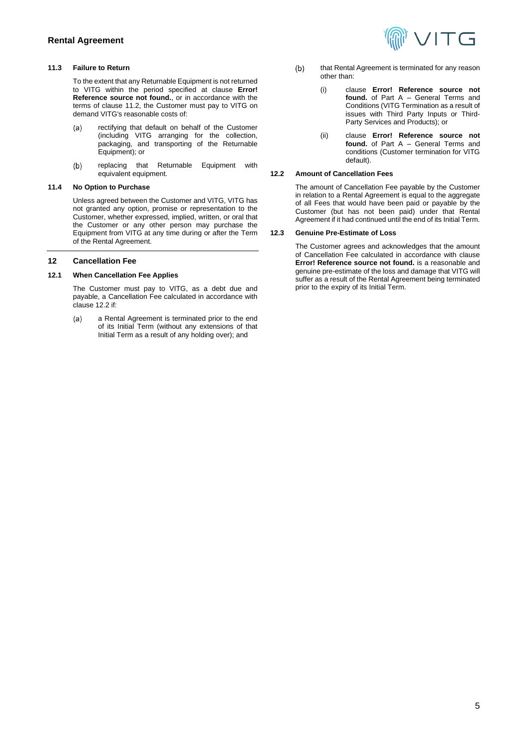## **11.3 Failure to Return**

To the extent that any Returnable Equipment is not returned to VITG within the period specified at clause **Error! Reference source not found.**, or in accordance with the terms of clause [11.2,](#page-3-2) the Customer must pay to VITG on demand VITG's reasonable costs of:

- rectifying that default on behalf of the Customer  $(a)$ (including VITG arranging for the collection, packaging, and transporting of the Returnable Equipment); or
- $(b)$ replacing that Returnable Equipment with equivalent equipment.

# **11.4 No Option to Purchase**

Unless agreed between the Customer and VITG, VITG has not granted any option, promise or representation to the Customer, whether expressed, implied, written, or oral that the Customer or any other person may purchase the Equipment from VITG at any time during or after the Term of the Rental Agreement.

## <span id="page-4-0"></span>**12 Cancellation Fee**

#### **12.1 When Cancellation Fee Applies**

The Customer must pay to VITG, as a debt due and payable, a Cancellation Fee calculated in accordance with claus[e 12.2](#page-4-1) if:

a Rental Agreement is terminated prior to the end  $(a)$ of its Initial Term (without any extensions of that Initial Term as a result of any holding over); and



- $(b)$ that Rental Agreement is terminated for any reason other than:
	- (i) clause **Error! Reference source not found.** of Part A – General Terms and Conditions (VITG Termination as a result of issues with Third Party Inputs or Third-Party Services and Products); or
	- (ii) clause **Error! Reference source not found.** of Part A – General Terms and conditions (Customer termination for VITG default).

## <span id="page-4-1"></span>**12.2 Amount of Cancellation Fees**

The amount of Cancellation Fee payable by the Customer in relation to a Rental Agreement is equal to the aggregate of all Fees that would have been paid or payable by the Customer (but has not been paid) under that Rental Agreement if it had continued until the end of its Initial Term.

#### **12.3 Genuine Pre-Estimate of Loss**

The Customer agrees and acknowledges that the amount of Cancellation Fee calculated in accordance with clause **Error! Reference source not found.** is a reasonable and genuine pre-estimate of the loss and damage that VITG will suffer as a result of the Rental Agreement being terminated prior to the expiry of its Initial Term.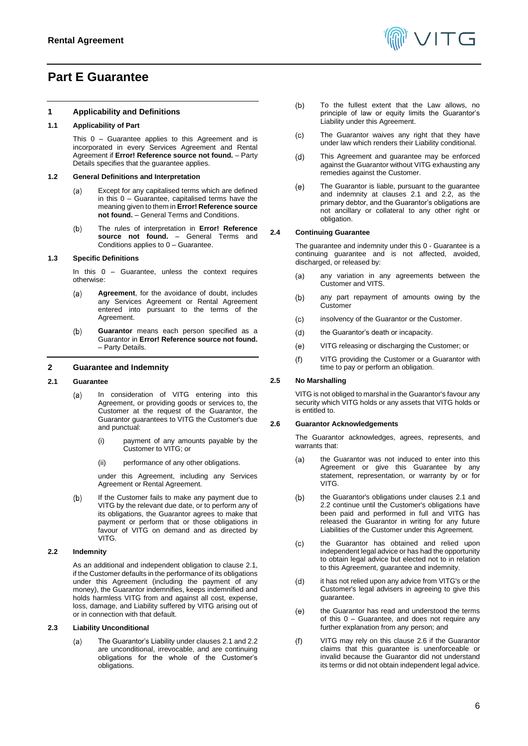# <span id="page-5-0"></span>**Part E Guarantee**

## **1 Applicability and Definitions**

## **1.1 Applicability of Part**

This [0](#page-5-0) – Guarantee applies to this Agreement and is incorporated in every Services Agreement and Rental Agreement if **Error! Reference source not found.** - Party Details specifies that the guarantee applies.

## **1.2 General Definitions and Interpretation**

- Except for any capitalised terms which are defined  $(a)$ in this [0](#page-5-0) – Guarantee, capitalised terms have the meaning given to them in **Error! Reference source not found.** – General Terms and Conditions.
- The rules of interpretation in **Error! Reference**   $(b)$ **source not found.** – General Terms and Conditions applies t[o 0](#page-5-0) – Guarantee.

#### **1.3 Specific Definitions**

In this  $0 0 -$  Guarantee, unless the context requires otherwise:

- **Agreement**, for the avoidance of doubt, includes  $(a)$ any Services Agreement or Rental Agreement entered into pursuant to the terms of the Agreement.
- $(b)$ **Guarantor** means each person specified as a Guarantor in **Error! Reference source not found.** – Party Details.

### **2 Guarantee and Indemnity**

#### <span id="page-5-1"></span>**2.1 Guarantee**

- In consideration of VITG entering into this  $(a)$ Agreement, or providing goods or services to, the Customer at the request of the Guarantor, the Guarantor guarantees to VITG the Customer's due and punctual:
	- (i) payment of any amounts payable by the Customer to VITG; or
	- (ii) performance of any other obligations.

under this Agreement, including any Services Agreement or Rental Agreement.

 $(b)$ If the Customer fails to make any payment due to VITG by the relevant due date, or to perform any of its obligations, the Guarantor agrees to make that payment or perform that or those obligations in favour of VITG on demand and as directed by VITG.

## <span id="page-5-2"></span>**2.2 Indemnity**

As an additional and independent obligation to clause [2.1,](#page-5-1)  if the Customer defaults in the performance of its obligations under this Agreement (including the payment of any money), the Guarantor indemnifies, keeps indemnified and holds harmless VITG from and against all cost, expense, loss, damage, and Liability suffered by VITG arising out of or in connection with that default.

### **2.3 Liability Unconditional**

The Guarantor's Liability under clauses [2.1](#page-5-1) an[d 2.2](#page-5-2)  $(a)$ are unconditional, irrevocable, and are continuing obligations for the whole of the Customer's obligations.



- $(b)$ To the fullest extent that the Law allows, no principle of law or equity limits the Guarantor's Liability under this Agreement.
- $(c)$ The Guarantor waives any right that they have under law which renders their Liability conditional.
- $(d)$ This Agreement and guarantee may be enforced against the Guarantor without VITG exhausting any remedies against the Customer.
- $(e)$ The Guarantor is liable, pursuant to the guarantee and indemnity at clauses [2.1](#page-5-1) and [2.2,](#page-5-2) as the primary debtor, and the Guarantor's obligations are not ancillary or collateral to any other right or obligation.

# **2.4 Continuing Guarantee**

The guarantee and indemnity under this [0](#page-5-0) - Guarantee is a continuing guarantee and is not affected, avoided, discharged, or released by:

- any variation in any agreements between the  $(a)$ Customer and VITS.
- $(b)$ any part repayment of amounts owing by the Customer
- insolvency of the Guarantor or the Customer.  $(c)$
- $(d)$ the Guarantor's death or incapacity.
- VITG releasing or discharging the Customer; or  $(e)$
- VITG providing the Customer or a Guarantor with  $(f)$ time to pay or perform an obligation.

## **2.5 No Marshalling**

VITG is not obliged to marshal in the Guarantor's favour any security which VITG holds or any assets that VITG holds or is entitled to.

#### <span id="page-5-3"></span>**2.6 Guarantor Acknowledgements**

The Guarantor acknowledges, agrees, represents, and warrants that:

- $(a)$ the Guarantor was not induced to enter into this Agreement or give this Guarantee by any statement, representation, or warranty by or for VITG.
- $(b)$ the Guarantor's obligations under clauses [2.1](#page-5-1) and [2.2](#page-5-2) continue until the Customer's obligations have been paid and performed in full and VITG has released the Guarantor in writing for any future Liabilities of the Customer under this Agreement.
- the Guarantor has obtained and relied upon  $(c)$ independent legal advice or has had the opportunity to obtain legal advice but elected not to in relation to this Agreement, guarantee and indemnity.
- $(d)$ it has not relied upon any advice from VITG's or the Customer's legal advisers in agreeing to give this guarantee.
- the Guarantor has read and understood the terms  $(e)$ of this [0](#page-5-0) – Guarantee, and does not require any further explanation from any person; and
- $(f)$ VITG may rely on this clause [2.6](#page-5-3) if the Guarantor claims that this guarantee is unenforceable or invalid because the Guarantor did not understand its terms or did not obtain independent legal advice.